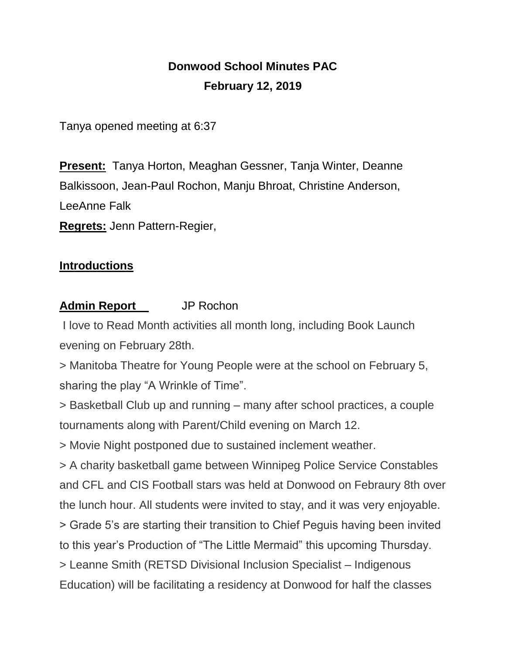## **Donwood School Minutes PAC February 12, 2019**

Tanya opened meeting at 6:37

**Present:** Tanya Horton, Meaghan Gessner, Tanja Winter, Deanne Balkissoon, Jean-Paul Rochon, Manju Bhroat, Christine Anderson, LeeAnne Falk **Regrets:** Jenn Pattern-Regier,

## **Introductions**

## **Admin Report** JP Rochon

I love to Read Month activities all month long, including Book Launch evening on February 28th.

> Manitoba Theatre for Young People were at the school on February 5, sharing the play "A Wrinkle of Time".

> Basketball Club up and running – many after school practices, a couple tournaments along with Parent/Child evening on March 12.

> Movie Night postponed due to sustained inclement weather.

> A charity basketball game between Winnipeg Police Service Constables and CFL and CIS Football stars was held at Donwood on Febraury 8th over the lunch hour. All students were invited to stay, and it was very enjoyable. > Grade 5's are starting their transition to Chief Peguis having been invited to this year's Production of "The Little Mermaid" this upcoming Thursday. > Leanne Smith (RETSD Divisional Inclusion Specialist – Indigenous

Education) will be facilitating a residency at Donwood for half the classes